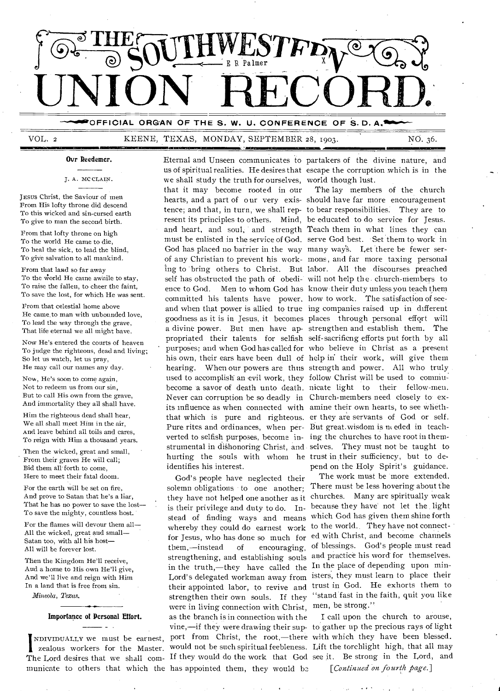

OFFICIAL ORGAN OF THE S. W. U. CONFERENCE OF S.D. A.<sup>1</sup>

# VOL. 2 KEENE, TEXAS, MONDAY, SEPTEMBER 28, 1903. NO. 36.

## **Ovr Reedemer.**

J. A. MC CLAIN.

JEsus Christ, the Saviour of men From His lofty throne did descend To this wicked and sin-cursed earth To give to man the second birth.

**All Company** 

From that lofty throne on high To the world He came to die, To heal the sick, to lead the blind, To give salvation to all mankind.

From that land so far away To the world He came awhile to stay, To raise the fallen, to cheer the faint, To save the lost, for which He was sent.

From that celestial home above He came.to man with unbounded love, To lead the way through the grave, That life eternal we all might have.

Now He's entered the courts of heaven To judge the righteous, dead and living; So let us watch, let us pray, He may call our names any day.

Now, He's soon to come again, Not to redeem us from our sin, But to call His own from the grave, And immortality they all shall have.

Him the righteous dead shall hear, We all shall meet Him in the air, And leave behind all toils and cares, To reign with Him a thousand years.

Then the wicked, great and small, From their graves He will call; Bid them all forth to come, Here to meet their fatal doom.

For the earth will be set on fire, And prove to Satan that he's a liar, That he has no power to save the lost— To save the mighty, countless host.

For the flames will devour them all— All the wicked, great and small— Satan too, with all his host— All will be forever lost.

Then the Kingdom He'll receive, And a home to His own He'll give, And we'll live and reign with Him In a land that is free from sin.

*Mineola, Texas.* 

### **Importance of Personal Effort.**

I zealous workers for the Master. municate to others that which the has appointed them, they would be *[Continued on fourth page*.]

us of spiritual realities. He desires that escape the corruption which is in the we shall study the truth for ourselves, world though lust. that it may become rooted in our The lay members of the church hearts, and a part of our very exis- should have far more encouragement tence; and that, in turn, we shall rep- to bear responsibilities. They are to resent its principles to others. Mind, be educated to do service for Jesus. and heart, and soul, and strength Teach them in what lines they can must be enlisted in the service of God. serve God best. 'Set them to work in God has placed no barrier in the way many way's. Let there be fewer serof any Christian to prevent his work- mons , and far more taxing personal ing to 'bring others to Christ. But labor. All the discourses preached self has obstructed the path of obedi- will not help the church-members to ence to God. Men to whom God has know their duty unless you teach them committed his talents have power, how to work. The satisfaction of seeand when that power is allied to true ing companies raised up in different goodness as it is in Jesus, it becomes places through personal effort will a divine power. But men have ap- strengthen and establish them. The propriated their talents for selfish self-sacrificng efforts put forth by all purposes; and when God has called for who believe in Christ as a present his own, their ears have been dull of help in' their work, will give them hearing. When our powers are thus strength and power. All who truly used to accomplish an evil work, they follow Christ will be used to commubecome a savor of death unto death. nicate light to their fellow-men. Never can corruption be so deadly in Church-members need closely to exits influence as when connected with amine their own hearts, to see wheththat which is pure and righteous. erthey are servants of God or self. Pure rites and ordinances, when per- But great.wisdom is needed in teachverted to selfish purposes, become in- ing the churches to have root in themstrumental in dishonoring Christ, and selves. They must not be taught to hurting the souls with whom he trust in their sufficiency, but to de-

God's people have neglected their solemn obligations to one another; There must be less hovering about the they have not helped one another as it churches. Many are spiritually weak is their privilege and duty to do. In- because they have not let the light stead of finding ways and means which God has given them shine forth for Jesus, who has done so much for ed with Christ, and become channels them,—instead of encouraging, of blessings. God's people must read strengthening, and establishing souls and practice his word for themselves. in the truth,—they have called the In the place of depending upon min-Lord's delegated workman away from isters, they must learn to place their were in living connection with Christ, men, be strong." as the branch is in connection with the I call upon the church to arouse, would not be such spiritual feebleness. Lift the torchlight high, that all may

Eternal and Unseen communicates to partakers of the divine nature, and

identifies his interest.<br>
God's people have neglected their The work must be more extended.

whereby they could do earnest work to the world. They have not connecttheir appointed labor, to revive and trust in God. He exhorts them to strengthen their own souls. If they "stand fast in the faith, quit you like

NDIviDuALLY we must be earnest, port from Christ, the root,—there with which they have been blessed. The Lord desires that we shall com- If they would do the work that God see it. Be strong in the Lord, and vine,—if they were drawing their sup- to gather up the precious rays of light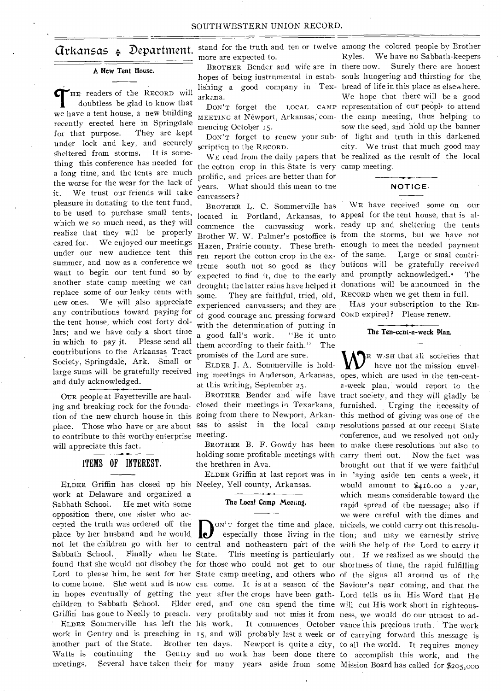# arkattsas Department.

## **A Ncw Tent House.**

THE readers of the RECORD will doubtless be glad to know that we have a tent house, a new building HE readers of the RECORD will doubtless be glad to know that recently erected here in Springdale for that purpose. They are kept under lock and key, and securely sheltered from storms. It is something this conference has needed for a long time, and the tents are much the worse for the wear for the lack of it. We trust our friends will take pleasure in donating to the tent fund, to be used to purchase small tents, located in Portland, Arkansas, to appeal for the tent house, that is alwhich we so much need, as they will realize that they will be properly cared for. We enjoyed our meetings under our new audience tent this summer, and now as a conference we want to begin our tent fund so by another state camp meeting we can replace some of our leaky tents with new ones. We will also appreciate any contributions toward paying for the tent house, which cost forty dollars; and we have only a short time in which to pay it. Please send all contributions to the Arkansas Tract Society, Springdale, Ark. Small or Society, Springdale, Ark. Small or FLOER J. A. Sommerville is hold-<br>large sums will be gratefully received ing meetings in Anderson, Arkansas, opes, which are used in the ten-centand duly acknowledged.

OuR people at Fayetteville are haulto contribute to this worthy enterprise meeting. will appreciate this fact.

# ITEMS OF INTEREST.

ELDER Griffin has closed up his Neeley, Yell county, Arkansas. work at Delaware and organized a Sabbath School. He met with some opposition there, one sister who accepted the truth was ordered off the place by her husband and he would Sabbath School. Finally when he State. another part of the State.

more are expected to.

BROTHER Bender and wife are in there now. arkana.

mencing October 15.

scription to the RECORD.

the cotton crop in this State is very camp meeting. prolific, and prices are better than for years. What should this mean to tne canvassers?

BROTHER L. C. Sommerville has ren report the cotton crop in the ex- of the same. some. They are faithful, tried, old, RECORD when we get them in full. experienced canvassers; and they are of good courage and pressing forward CORD expired? Please renew. with the determination of putting in a good fall's work. "Be it unto them according to their faith." The promises of the Lord are sure.

ELDER **J.** A. Sommerville is holdat this writing, September 25.

ing and breaking rock for the founda-closed their meetings in Texarkana, furnished. Urging the necessity of tion of the new church house in this going from there to Newport, Arkan-this method of giving was one of the place. Those who have or are about sas to assist in the local camp resolutions passed at our recent State

> holding some profitable meetings with carry theni out. Now the fact was the brethren in Ava.

## **The Local Camp Meeting.**

cepted the truth was ordered off the **D**<sub>ON</sub>'r forget the time and place, nickels, we could carry out this resolu-<br>place by her husband and he would especially those living in the tion; and may we earnestly strive<br>not let found that she would not disobey the for those who could not get to our shortness of time, the rapid fulfilling Lord to please him, he sent for her State camp meeting, and others who of the signs all around us of the to come home. She went and is now can come. It is at a season of the Saviour's near coming, and that the in hopes eventually of getting the year after the crops have been gath-Lord tells us in His Word that He children to Sabbath School. Elder ered, and one can spend the time will cut His work short in righteous-Griffin has gone to Neelly to preach. very profitably and not miss it from ness, we would do our utmost to ad-ELDER Sommerville has left the his work. It commences October vance this precious truth. The work work in Gentry and is preaching in 15, and will probably last a week or of carrying forward this message is Watts is continuing the Gentry and no work has been done there to accomplish this work, and the

stand for the truth and ten or twelve among the colored people by Brother hopes of being instrumental in estab-souls hungering and thirsting for the. lishing a good company in Tex-bread of life in this place as elsewhere. DON'T forget the LOCAL CAMP representation of our people to attend MEETING at Newport, Arkansas; com-the camp meeting, thus helping to DON'T forget to renew your sub-of light and truth in this darkened WE read from the daily papers that be realized as the result of the local Ryles. We have no Sabbath-keepers Surely there are honest We hope that there will be a good sow the seed, and hold up the banner city. We trust that much good may

# **NOTICE.**

commence the canvassing work ready up and sheltering the tents Brother W. W. Palmer's postoffice is from the storms, but we have not Hazen, Prairie county. These breth-enough to meet the needed payment treme south not so good as they butions will be gratefully received expected to find it, due to the early and promptly acknowledged. The drought; the latter rains have helped it donations will be announced in the **WE** have received some on our Large or smal contri-

HAS your subscription to the RE-

**The Ten-cent-a-week Plan.** 

meetings. Several have taken their for many years aside from some Mission Board has called for \$205,000 BROTHER Bender and wife have tract soc;ety, and they will gladly be BROTHER B. F. Gowdy has been to make these resolutions but also to ELDER Griffin at last report was in in 'aging aside ten cents a week, it ON'T forget the time and place, nickels, we could carry out this resoluespecially those living in the tion; and may we earnestly strive State. This meeting is particularly out. If we realized as we should the ten days. Newport is quite a city, to all the world. It requires money E w..sa that all societies that have not the mission envela-week plan, would report to the conference, and we resolved not only brought out that if we were faithful would amount to \$416.00 a year, which means considerable toward the rapid spread of the message; also if we were careful with the dimes and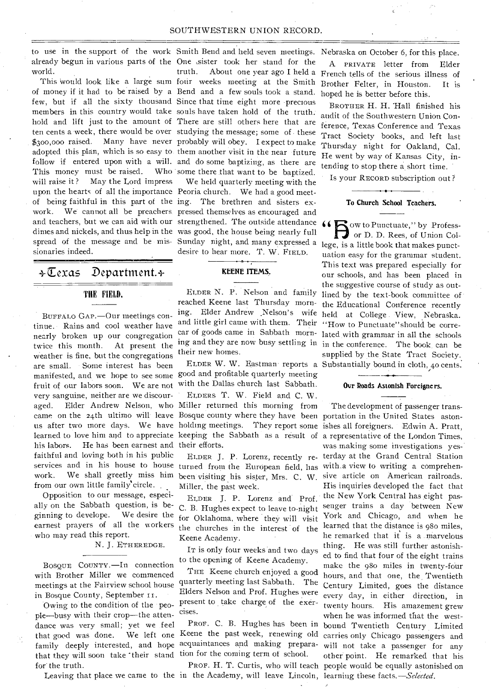already begun in various parts of the One sister took her stand for the world.

of money if it had to be raised by a Bend and a few souls took a stand. few, but if all the sixty thousand Since that time eight more precious members in this country would take souls have taken hold of the truth. hold and lift just to the amount of There are still others here that are ten cents a week, there would be over studying the message; some of these \$300,000 raised. Many have never probably will obey. I expect to make adopted this plan, which is so easy to them another visit in the near future follow if entered upon with a will. and do some baptizing, as there are This money must be raised. will raise it? May the Lord impress upon the hearts of all the importance Peoria church. We had a good meetof being faithful in this part of the ing. The brethren and sisters exwork. We cannot all be preachers pressed themselves as encouraged and and teachers, but we can aid with our strengthened. The outside attendance dimes and nickels, and thus help in the was good, the house being nearly full spread of the message and be mis- Sunday night, and many expressed a lege, is a little book that makes punctsionaries indeed.

4-Texas Department.+

## THE FIELD.

BUFFALO GAP.—Our meetings continue. Rains and cool weather have nearly broken up our congregation twice this month. At present the Weather is fine, but the congregations are small. Some interest has been manifested, and we hope to see some good and profitable quarterly meeting fruit of our labors soon. We are not very sanguine, neither are we discouraged. Elder Andrew Nelson, who Miller returned this morning from his labors. He has been earnest and their efforts. faithful and loving both in his public services and in his house to house turned from the European field, has work. We shall greetly miss him been visiting his sister, Mrs. C. W. sive article on American railroads. from our own little family'circle.

Opposition to our message, especially on the Sabbath question, is beginning to develope. We desire the earnest prayers of all the workers who may read this report.

## N. J. ETHEREDGE.

BOSQUE COUNTY.—In connection with Brother Miller we commenced meetings at the Fairview school house in Bosque County, September i r.

Owing to the condition of the people—busy with their crop—the attendance was very small; yet we feel that good was done. family deeply interested, and hope acquaintances and making preparathat they will soon take their stand tion for the coming term of school. for' the truth.

to use in the support of the work Smith Bend and held seven meetings. Nebraska on October 6, for this place. This would look like a large sum four weeks meeting at the Smith Who some there that want to be baptized.

> We held quarterly meeting with the desire to hear more. T. W. FIELD.

## KEENE ITEMS.

ELDER N. P. Nelson and family reached Keene last Thursday morning. Elder Andrew ,Nelson's wife and little girl came with them. Their their new homes.

with the Dallas church last Sabbath.

came on the 24th ultimo will leave Bosque county where they have been portation in the United States astonus after two more days. We have holding meetings. They report some ishes all foreigners. Edwin A. Pratt, learned to love him and to appreciate keeping the Sabbath as a result of a representative of the London Times, ELDERS T. W. Field and C. W.

Miller, the past week.

ELDER J. P. Lorenz and Prof. C. B. Hughes expect to leave to-night for Oklahoma, where they will visit the churches in the interest of the Keene Academy.

IT is only four weeks and two days to the opening of Keene Academy.

THE Keene church enjoyed a good quarterly meeting last Sabbath. The Elders Nelson and Prof. Hughes were present to take charge of the exercises.

PROF. C. B. Hughes has been in We left one Keene the past week, renewing old

Leaving that place we came to the in the Academy, will leave Lincoln, learning these facts.-*-Selected*.

truth. About one year ago I held a French tells of the serious illness of A PRIVATE letter from Elder Brother Felter, in Houston. It is hoped he is better before this.

> BROTHER H. H. 'Hall finished his audit of the Southwestern Union Conference, Texas Conference and Texas Tract Society books, and left last Thursday night for Oakland, Cal. He went by way of Kansas City, intending to stop there a short time.

Is your RECORD subscription out ?

## To Church School Teachers.

car of goods came in Sabbath morn-lated with grammar in all the schools ing and they are now busy settling in in the conference. The book, can be ELDER W. W. Eastman reports a Substantially bound in cloth, 4o cents. To Church School Teachers.<br>  $\overline{\hspace{1cm}}$ <br>  $\begin{array}{c}\n\bullet \\
\bullet \\
\bullet \\
\bullet\n\end{array}$  ow to Punctuate," by Profess-<br>
or D. D. Rees, of Union Coluation easy for the grammar student. This text was prepared especially for our schools, and has been placed in the suggestive course of study as outlined by the text-book committee of the Educational Conference recently held at College . View, Nebraska. "How to Punctuate" should be corresupplied by the State Tract Society.

## Ovr Roads Astonish Foreigners.

ELDER J. P. Lorenz, recently re-terday at the Grand Central Station PROF. H. T. Curtis, who will teach people would be equally astonished on The development of passenger transwas making some investigations yes-' with a view to writing a comprehen-His inquiries developed the fact that the New York Central has eight passenger trains a day between New York and Chicago, and when he learned that the distance is 98o miles, he remarked that it is a marvelous thing. He was still further astonished to find that four of the eight trains make the 980 miles in twenty-four hours, and that one, the Twentieth Century Limited, goes the distance every day, in either direction, in twenty hours. His amazement grew when he was informed that the westbound Twentieth Century Limited carries only Chicago passengers and will not take a passenger for any other point. He remarked that his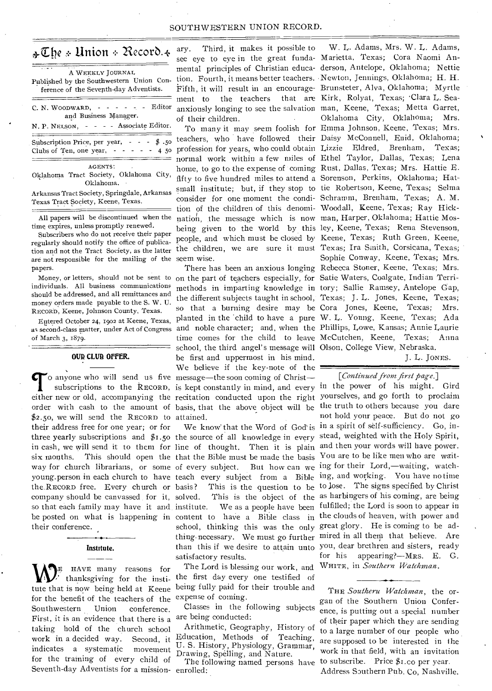## SOUTHWESTERN UNION RECORD.

# $\triangle\mathbb{C}$ he + Union + Record.  $\triangleleft$

| A WEEKLY JOURNAL<br>Published by the Southwestern Union Con-<br>ference of the Seventh-day Adventists.        |  |  |  |  |  |  |  |  |  |  |
|---------------------------------------------------------------------------------------------------------------|--|--|--|--|--|--|--|--|--|--|
| C. N. WOODWARD, $- - - - - -$ Editor<br>and Business Manager.<br>N. P. NELSON, - - - - Associate Editor.      |  |  |  |  |  |  |  |  |  |  |
| Subscription Price, per year, - - - \$.50<br>Clubs of Ten, one year, - - - - - 4 50                           |  |  |  |  |  |  |  |  |  |  |
| AGENTS:<br>Oklahoma Tract Society, Oklahoma City,<br>Oklahoma.<br>Arlunges Tuest Conicty Corinadele Arlzances |  |  |  |  |  |  |  |  |  |  |

Arkansas Tract Society, Springdale, Arkansas Texas Tract Society, Keene, Texas.

All papers will be discontinued when the time expires, unless promptly renewed.

Subscribers who do not receive their paper regularly should notify the office of publication and not the Tract Society, as the latter are not responsible for the mailing of the seem wise. papers.

Money, or letters, should not be sent to individuals. All business communications should he addressed, and all remittances and money orders made payable to the S. W. U. RECORD, Keene, Johnson County, Texas.

Entered October 24, 1902 at Keene, Texas, of March 3, 1879.

## **OUR CLUB OFFER.**

\$2.50, we will send the RECORD to attained. their address free for one year; or for the.REcoRD free. Every church or so that each family may have it and their conference.

# Institute.

tute that is now being held at Keene for the benefit of the teachers of the Southwestern Union conference. First, it is an evidence that there is a taking hold of the church school work in a decided way. Second, it indicates a systematic movement for the training of every child of Seventh-day Adventists for a mission-enrolled:

ary. Third, it makes it possible to ment to the teachers

teachers, who have followed their Daisy McConnell, Enid, Oklahoma; profession for years, who could obtain Lizzie Eldred, Brenham, Texas; normal work within a few miles of Ethel Taylor, Dallas, Texas; Lena home, to go to the expense of coming Rust, Dallas, Texas; Mrs. Hattie E. fifty to five hundred miles to attend a Sorenson, Perkins, Oklahoma; Hatsmall institute; but, if they stop to tie Robertson, Keene, Texas; Selma consider for one moment the condi-Schramm, Brenham, Texas; A. M. tion of the children of this denomi-Woodall, Keene, Texas; Ray Hicknation, the message which is now man, Harper, Oklahoma; Hattie Mosbeing given to the world by this ley, Keene, Texas; Rena Stevenson, people, and which must be closed by Keene, Texas; Ruth Green, Keene, the children, we are sure it- must Texas; Ira Smith, Corsicana, Texas;

as second-class matter, under Act of Congress and noble character; and, when the Phillips, Lowe, Kansas; Annie Laurie **com** o anyone who will send us five message—the soon coming of Christ subscriptions to the RECORD, is kept constantly in mind, and every in the power of his might. Gird order with cash to the amount of basis, that the above object will be the truth to others because you dare on the part of teachers especially, for Satie Waters, Coalgate, Indian Terrimethods in imparting knowledge in tory; Sallie Ramsey, Antelope Gap, the different subjects taught in school, Texas; J. L. Jones, Keene, Texas; so that a burning desire may be Cora Jones, Keene, Texas; Mrs. planted in the child to have a pure W. L. Young, Keene, Texas; Ada time comes for the child to leave McCutchen, Keene, Texas; Anna school, the third angel's message will Olson, College View, Nebraska. be first and uppermost in his mind. We believe if the key-note of the

three yearly subscriptions and \$1.50 the source of all knowledge in every stead, weighted with the Holy Spirit, in cash, we will send it to them for line of thought. Then it is plain and then your words will have power. six months. This should open the that the Bible must be made the basis You are to be like men who are waitway for church librarians, or some of every subject. But how can we ing for their Lord,—waiting, watchyoung person in each church to have teach every subject from a Bible ing, and working. You have no time company should be canvassed for it, solved. This is the object of the as harbingers of his coming, are being be posted on what is happening in content to have a Bible class in the clouds of heaven, with power and basis? This is the question to be to lose. The signs specified by Christ institute. We as a people have been fulfilled; the Lord is soon to appear in school, thinking this was the only great glory. He is coming to be adsatisfactory results.

 $\bigotimes_{i=1}^{\infty}$  HAVE many reasons for The Lord is blessing our work, and thanksgiving for the institution of the first day every one testified of The Lord is blessing our work, and being fully paid for their trouble and expense of coming.

> Classes in the following subjects are being conducted:

> Arithmetic, Geography, History of Education, Methods of Teaching, U. S. History, Physiology, Grammar, Drawing, Spelling, and Nature.

> The following named persons have

see eye to eye in the great funda- Marietta, Texas; Cora Naomi Anmental principles of Christian educa-derson, Antelope, Oklahoma; Nettie tion. Fourth, it means better teachers. Newton, Jennings, Oklahoma; H. H. Fifth, it will result in an encourage-Brunsteter, Alva, Oklahoma; Myrtle anxiously longing to see the salvation man, Keene, Texas; Metta Garret, of their children. • To many it may seem foolish for Emma Johnson, Keene, Texas; Mrs. There has been an anxious longing Rebecca Stoner, Keene, Texas; Mrs. W. L. Adams, Mrs. W. L. Adams, that are Kirk, Rolyat, Texas; 'Clara L. Sea-Oklahoma City, Oklahoma; Mrs. Sophie Conway, Keene, Texas; Mrs.

J. L. JoNEs.

## *[Continued from first page.]*

either new or old, accompanying the recitation conducted upon the right yourselves, and go forth to proclaim We know that the Word of God' is in a spirit of self-sufficiency. Go, inthing necessary. We must go further mired in all them that believe. Are than this if we desire to attain unto you, dear brethren and sisters, ready not hold your peace. But do not go for his appearing?—MRs. E. G. WHITE, in *Southern Watchman.* 

> THE *Southeru Watchman,* the organ of the Southern Union Conference, is putting out a special number of their paper which they are sending to a large number of our people who are supposed to be interested in the work in that field, with an invitation to subscribe. Price \$I.co per year. Address Southern Pub. Co, Nashville.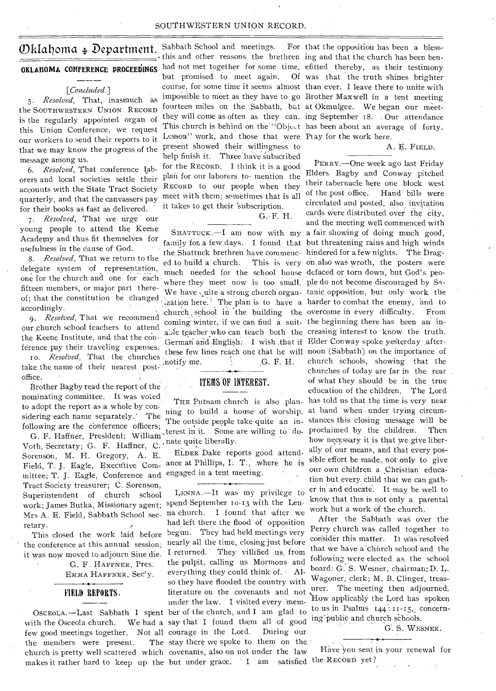## SOUTHWESTERN UNION RECORD.

## *[Concluded.]*

*5. Resolved,* That, inasmuch as the SOUTHWESTERN UNION RECORD is the regularly appointed organ of this Union Conference, we request our workers to send their reports to it that we may know the progress of the message among us.

*6. Resolved,* That conference laborers and local societies settle their accounts with the State Tract Society quarterly, and that the canvassers pay for their books as fast as delivered.

*7. Resolved,* That we urge our young people to attend the Keene Academy and thus fit themselves for usefulness in the cause of God.

*8. Resolved,* That we return to the delegate system of representation, one for the church and one for each of; that the constitution be changed accordingly.

our church school teachers to attend 6 the Keene Institute, and that the con-<br>ference pay their traveling expenses,

ro. *Resolved*, That the churches these tew take the name of their nearest postoffice.

Brother Bagby read the report of the nominating committee. It was voted to adopt the report as a whole by considering each name separately.' The following are the conference officers;

G. F. Haffner, President; William Voth, Secretary; G. F. Haffner, C. nate quite liberally. Sorenson, M. H. Gregory, A. E. Field, T. J. Eagle, Executive Committee; T. J. Eagle, Conference and Tract Society treasurer; C. Sorenson, Superintendent of church school work; James Butka, Missionary agent; spend September 10-13 with the Len-Mrs A. E. Field, Sabbath School secretary.

This closed the work laid before the conference at this annual session; it was now moved to adjourn Sine die.

> G. F. HAFFNER, Pres. EMMA HAFFNER, Sec' y.

## FIELD REPORTS.

with the Osceola church. few good meetings together. Not all courage in the Lord. During our the members were present. church is pretty well scattered which covenants, also on not under the law makes it rather hard to keep up the but under grace. I am satisfied the RECORD yet?

this and other reasons the brethren ing and that the church has been benbut promised to meet again. course, for some time it seems almost than ever. I leave there to unite with fourteen miles on the Sabbath, but at Okmulgee. We began our meet-This church is behind on the "Object has been about an average of forty. Lesson" work, and those that were Ptay for the work here. present showed their willingness to help finish it. Three have subscribed for the RECORD. I think it is a good plan for our laborers to- mention the RECORD to our people when they meet with them; sometimes that is all it takes to get their 'subscription.

G.• F. H.

the Shattuck brethren have commenc- hindered for a few nights. The Draged to build a church. much needed for the school house defaced or torn down, but God's peowhere they meet now is too. small. ple do not become discouraged by Sa-,G. F. H.

## ITEMS OF INTEREST.

ning to build a house of worship.

engaged in a tent meeting. ELDER Dake reports good attendance at Phillips, I:  $T$ ., where he is

OSCEOLA.—Last Sabbath I spent ber of the church, and I am glad to LENNA.—It was my privilege to na church. I found that after we had left there the flood of opposition begun. They had held meetings very nearly all the time, closing just before **I** returned. They villified us, from the pulpit, calling us Mormons and everything they could think of. • Also they have flooded the country with literature on the covenants and not under the law. I visited every 'mem-We had a say that I found them all of good The stay there we spoke to them on the

**OKLAHOMA CONFERENCE PROCEEDINGS** had not met together for some time, efitted thereby, as their testimony<br>
but promised to meet again. Of was that the truth shines brighter<br>  $\begin{array}{r} \text{course} \\ \text{course} \\ \text{for some time it seems almost than ever. I leave there to write with } \end{array}$  $\mathcal{D}$ klahoma  $\ast$  Department. Sabbath School and meetings. For that the opposition has been a blessimpossible to meet as they have to go Brother Maxwell in a tent meeting they will come as often as they can. ing September 18. Our attendance Of was that the truth shines brighter

## A. E. FIELD.

SHATTUCK, -- I am now with my a fair showing of doing much good, family for a few days. I found that but threatening rains and high winds PERRY.—One week ago last. Friday Elders Bagby and Conway pitched their tabernacle here one block west of the post office. Hand bills were circulated and posted, also invitation cards were distributed over the city, and the meeting well commenced with This is very on also was wroth, the posters were fifteen members, or major part there-<br>We have quite a strong church organ- tanic opposition, but-only-work the  $\frac{1}{4}$  ization here. The plan is to have a harder to combat the enemy, and to cordingly.<br>9. *Resolved*, That we recommend coming without if we can find a quit, the beginning there has been an in coming winter, if we can find a suit- the beginning there has been an inchurch school teachers to attend a le teacher who can teach both the creasing interest to know the truth.<br>Keene Institute, and that the con- Common and Euglish I, wish that if Elder Conway spoke vectorially ofter German and English. I wish that if Elder Conway spoke yesterday afterthe Keene Institute, and that the con-<br>ference pay their traveling expenses, these few lines reach one that he will noon (Sabbath) on the importance of church schools, showing that the churches of today are far in the rear of what they should be in the true education of the children. The Lord THE Putnam chnrch is also plan- has told us that the time is very near<br>ne to build a house of worship, at hand when under trying circum-The outside people take quite an in- stances this closing message will be terest in it. Some are willing to do- proclaimed by the children. Then how necessary it is that we give liber-<br>ally of our means, and that every possible effort be made, not only to give our own Children a Christian education but every. child that we can gather in and educate. It may be well to know that this is not only a parental work but a work of the church.

> After the Sabbath was over the Perry church was called together to consider this matter. **I**t Was 'resolved that we have a church school and the following were elected as, the school board: G. S. Wesner, chairman; D. L. Wagoner, clerk; M. B. Clinger, treasurer. The meeting then adjourned. 'How applicably the Lord has spoken to us in Psalms  $144 : 11 - 15$ , concerning'public and church schools.

> > G. S. WESNER.

• . . Have you sent in your renewal for